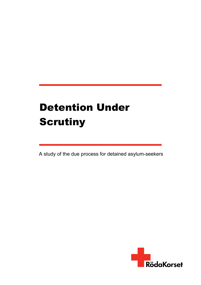# **Detention Under Scrutiny**

A study of the due process for detained asylum-seekers

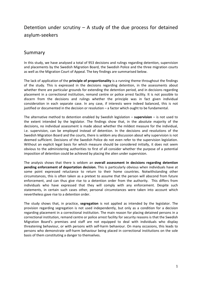## Detention under scrutiny – A study of the due process for detained asylum-seekers

## Summary

In this study, we have analysed a total of 953 decisions and rulings regarding detention, supervision and placements by the Swedish Migration Board, the Swedish Police and the three migration courts as well as the Migration Court of Appeal. The key findings are summarised below.

The lack of application of the **principle of proportionality** is a running theme throughout the findings of the study. This is expressed in the decisions regarding detention, in the assessments about whether there are particular grounds for extending the detention period, and in decisions regarding placement in a correctional institution, remand centre or police arrest facility. It is not possible to discern from the decisions and rulings whether the principle was in fact given individual consideration in each separate case. In any case, if interests were indeed balanced, this is not justified or documented in the decision or resolution – a factor which ought to be fundamental.

The alternative method to detention enabled by Swedish legislation – **supervision** – is not used to the extent intended by the legislator. The findings show that, in the absolute majority of the decisions, no individual assessment is made about whether the mildest measure for the individual, i.e. supervision, can be employed instead of detention. In the decisions and resolutions of the Swedish Migration Board and the courts, there is seldom any discussion about why supervision is not deemed sufficient. Decisions of the Swedish Police do not even refer to the supervision legislation. Without an explicit legal basis for which measure should be considered initially, it does not seem obvious to the administering authorities to first of all consider whether the purpose of a potential imposition of detention could be achieved by placing the alien under supervision.

The analysis shows that there is seldom an **overall assessment in decisions regarding detention pending enforcement of deportation decision.** This is particularly obvious when individuals have at some point expressed reluctance to return to their home countries. Notwithstanding other circumstances, this is often taken as a pretext to assume that the person will abscond from future enforcement, and can thus give rise to a detention order from the authority. This differs from individuals who have expressed that they will comply with any enforcement. Despite such statements, in certain such cases other, personal circumstances were taken into account which nevertheless gave rise to a detention order.

The study shows that, in practice, **segregation** is not applied as intended by the legislator. The provision regarding segregation is not used independently, but only as a condition for a decision regarding placement in a correctional institution. The main reason for placing detained persons in a correctional institution, remand centre or police arrest facility for security reasons is that the Swedish Migration Board's premises and staff are not equipped to deal with individuals who display threatening behaviour, or with persons with self-harm behaviour. On many occasions, this leads to persons who demonstrate self-harm behaviour being placed in correctional institutions on the sole basis of them constituting a danger to themselves.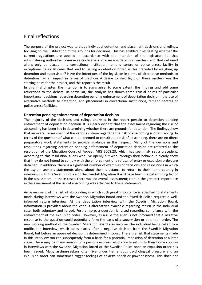### Final reflections

The purpose of the project was to study individual detention and placement decisions and rulings, focusing on the justification of the grounds for decisions. This has enabled investigating whether the current regulations are applied in accordance with the intention of the legislator, i.e. that administering authorities observe restrictiveness in assessing detention matters, and that detained aliens only be placed in a correctional institution, remand centre or police arrest facility in exceptional cases. In cases that lead to issuing a detention order, is this preceded by weighing up detention and supervision? Have the intentions of the legislator in terms of alternative methods to detention had an impact in terms of practice? A desire to shed light on these matters was the starting point for the project, and this report is the result.

In this final chapter, the intention is to summarise, to some extent, the findings and add some reflections to the debate. In particular, the analysis has shown three crucial points of particular importance: decisions regarding detention pending enforcement of deportation decision ; the use of alternative methods to detention; and placements in correctional institutions, remand centres or police arrest facilities.

#### **Detention pending enforcement of deportation decision**

The majority of the decisions and rulings analysed in the report pertain to detention pending enforcement of deportation decision. It is clearly evident that the assessment regarding the risk of absconding has been key in determining whether there are grounds for detention. The findings show that an overall assessment of the various criteria regarding the risk of absconding is often lacking. In terms of the question of what can be deemed to constitute a risk of absconding, there are no direct preparatory work statements to provide guidance in this respect. Many of the decisions and resolutions regarding detention pending enforcement of deportation decision are referred to the resolution of the Migration Court of Appeal, MIG 2008:23, which has seemingly set a precedent. According to this resolution, aliens who live openly but who, through their behaviour, clearly show that they do not intend to comply with the enforcement of a refusal-of-entry or expulsion order, are detained. In addition, there is a significant number of examples of decisions and resolutions in which the asylum-seeker's statements alone about their reluctance to return to their home country in interviews with the Swedish Police or the Swedish Migration Board have been the determining factor in the assessment. In these cases, there was no overall assessment; rather, the greatest importance in the assessment of the risk of absconding was attached to these statements.

An assessment of the risk of absconding in which such great importance is attached to statements made during interviews with the Swedish Migration Board and the Swedish Police requires a wellinformed return interview. At the deportation interview with the Swedish Migration Board, information is provided about the various alternatives available regarding return in the individual case, both voluntary and forced. Furthermore, a question is raised regarding compliance with the enforcement of the expulsion order. However, as a rule the alien is not informed that a negative response to the question could potentially form the basis of a supervision or detention order. The new working method of the Swedish Migration Board also involves the individual being called to a notification interview, which takes places after a negative decision from the Swedish Migration Board, but before an appealed decision is determined in court. There is a risk that statements made in this interview too can subsequently form a basis for a potential imposition of detention at a later stage. There may be many reasons why persons express reluctance to return to their home country in interviews with the Swedish Migration Board or the Swedish Police once an expulsion order has been issued. Many asylum-seekers often live under tremendous psychological pressure and an expulsion order can sometimes trigger feelings of anxiety, shock or powerlessness. This does not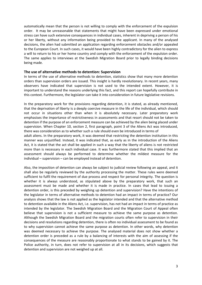automatically mean that the person is not willing to comply with the enforcement of the expulsion order. It may be unreasonable that statements that might have been expressed under emotional stress can have such extensive consequences in individual cases, inherent in depriving a person of his or her liberty, without any information being provided to the applicant. In many of the analysed decisions, the alien had submitted an application regarding enforcement obstacles and/or appealed to the European Court. In such cases, it would have been highly contradictory for the alien to express a will to return to his or her home country and comply with the enforcement of the expulsion order. The same applies to interviews at the Swedish Migration Board prior to legally binding decisions being made.

#### **The use of alternative methods to detention: Supervision**

In terms of the use of alternative methods to detention, statistics show that many more detention orders than supervision orders are issued. This insight is hardly revolutionary. In recent years, many observers have indicated that supervision is not used to the intended extent. However, it is important to understand the reasons underlying this fact, and this report can hopefully contribute in this context. Furthermore, the legislator can take it into consideration in future legislative revisions.

In the preparatory work for the provisions regarding detention, it is stated, as already mentioned, that the deprivation of liberty is a deeply coercive measure in the life of the individual, which should not occur in situations other than when it is absolutely necessary. Later preparatory work emphasises the importance of restrictiveness in assessments and that resort should not be taken to detention if the purpose of an enforcement measure can be achieved by the alien being placed under supervision. When Chapter 10, section 2, first paragraph, point 3 of the Aliens Act was introduced, there was consideration as to whether such a rule should even be introduced in terms of

adult aliens. In the preparatory work, it was deemed that restricting the detention institution in this manner was unjustified. Instead, it was indicated that, as early as in the introduction of the Aliens Act, it is stated that the act shall be applied in such a way that the liberty of aliens is not restricted more than is necessary in each individual case. It was furthermore stated that this implied that an assessment should always be performed to determine whether the mildest measure for the individual – supervision – can be employed instead of detention.

Also, the imposition of detention can always be subject to judicial review following an appeal, and it shall also be regularly reviewed by the authority processing the matter. These rules were deemed sufficient to fulfil the requirement of due process and respect for personal integrity. The question is whether it is always understood, as stipulated above by the preparatory work, that such an assessment must be made and whether it is made in practice. In cases that lead to issuing a detention order, is this preceded by weighing up detention and supervision? Have the intentions of the legislator in terms of alternative methods to detention had an impact in terms of practice? Our analysis shows that the law is not applied as the legislator intended and that the alternative method to detention available in the Aliens Act, i.e. supervision, has not had an impact in terms of practice as intended by the legislator. The Swedish Migration Board and the Migration Court of Appeal often believe that supervision is not a sufficient measure to achieve the same purpose as detention. Although the Swedish Migration Board and the migration courts often refer to supervision in their decisions and resolutions regarding detention, there is often no individual assessment to be found as to why supervision cannot achieve the same purpose as detention. In other words, why detention was deemed necessary to achieve the purpose. The analysed material does not show whether a detention order is preceded as a rule by a balancing of interests with the aim of assessing if the consequences of the measure are reasonably proportionate to what stands to be gained by it. The Police authority, in turn, does not refer to supervision at all in its decisions, which suggests that detention and supervision are not weighed up at all.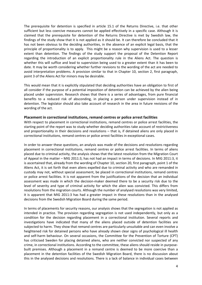The prerequisite for detention is specified in article 15.1 of the Returns Directive, i.e. that other sufficient but less coercive measures cannot be applied effectively in a specific case. Although it is claimed that the prerequisite for detention of the Returns Directive is met by Swedish law, the findings of the study show that it is not applied as it should be. It can therefore be concluded that it has not been obvious to the deciding authorities, in the absence of an explicit legal basis, that the principle of proportionality is to apply. This might be a reason why supervision is used to a lesser extent than detention. The findings of the study support the proposal of the Detention Report regarding the introduction of an explicit proportionality rule in the Aliens Act. The question is whether this will suffice and lead to supervision being used to a greater extent than it has been to date. It may be worth considering whether further revisions to the wording of the act are needed to avoid interpretation problems. A provision similar to that in Chapter 10, section 2, first paragraph, point 3 of the Aliens Act for minors may be desirable.

This would mean that it is explicitly stipulated that deciding authorities have an obligation to first of all consider if the purpose of a potential imposition of detention can be achieved by the alien being placed under supervision. Research shows that there is a series of advantages, from pure financial benefits to a reduced risk of absconding, in placing a person under supervision instead of in detention. The legislator should also take account of research in the area in future revisions of the wording of the act.

#### **Placement in correctional institutions, remand centres or police arrest facilities**

With respect to placement in correctional institutions, remand centres or police arrest facilities, the starting point of the report was to study whether deciding authorities take account of restrictiveness and proportionality in their decisions and resolutions – that is, if detained aliens are only placed in correctional institutions, remand centres or police arrest facilities in exceptional cases.

In order to answer these questions, an analysis was made of the decisions and resolutions regarding placement in correctional institutions, remand centres or police arrest facilities. In terms of aliens placed due to criminal activity, the analysis shows that the latest resolution from the Migration Court of Appeal in the matter – MIG 2011:3, has not had an impact in terms of decisions. In MIG 2011:3, it is ascertained that, already from the wording of Chapter 10, section 20, first paragraph, point 1 of the Aliens Act, it is set forth that even aliens expelled due to criminal activity and who are remanded in custody may not, without special assessment, be placed in correctional institutions, remand centres or police arrest facilities. It is not apparent from the justifications of the decision that an individual assessment was made in which the decision-maker deemed there to be a security risk due to the level of severity and type of criminal activity for which the alien was convicted. This differs from resolutions from the migration courts. Although the number of analysed resolutions was very limited, it is apparent that MIG 2011:3 has had a greater impact in these resolutions than in the analysed decisions from the Swedish Migration Board during the same period.

In terms of placements for security reasons, our analysis shows that the segregation is not applied as intended in practice. The provision regarding segregation is not used independently, but only as a condition for the decision regarding placement in a correctional institution. Several reports and investigations have indicated that many of the aliens placed outside of detention facilities are subjected to harm. They show that remand centres are particularly unsuitable and can even involve a heightened risk for detained persons who have already shown clear signs of psychological ill health and self-harm behaviour. On several occasions, the Committee for the Prevention of Torture (CPT) has criticised Sweden for placing detained aliens, who are neither convicted nor suspected of any crime, in correctional institutions. According to the committee, these aliens should reside in purposebuilt premises. Although a placement in a remand centre is deemed to be more coercive than a placement in the detention facilities of the Swedish Migration Board, there is no discussion about this in the analysed decisions and resolutions. There is a lack of balance in individual cases between